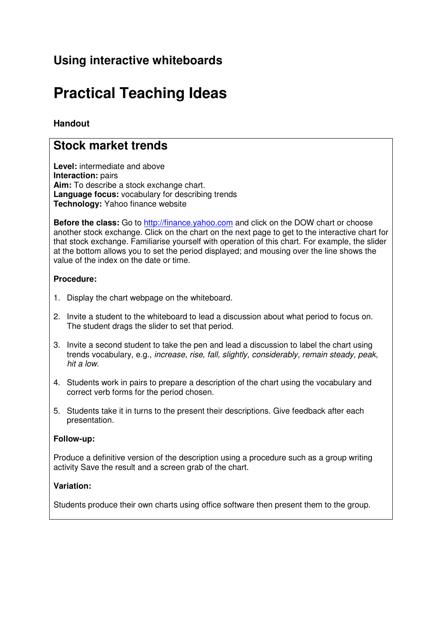# **Using interactive whiteboards**

# **Practical Teaching Ideas**

## **Handout**

## **Stock market trends**

**Level:** intermediate and above **Interaction:** pairs **Aim:** To describe a stock exchange chart. **Language focus:** vocabulary for describing trends **Technology:** Yahoo finance website

**Before the class:** Go to http://finance.yahoo.com and click on the DOW chart or choose another stock exchange. Click on the chart on the next page to get to the interactive chart for that stock exchange. Familiarise yourself with operation of this chart. For example, the slider at the bottom allows you to set the period displayed; and mousing over the line shows the value of the index on the date or time.

#### **Procedure:**

- 1. Display the chart webpage on the whiteboard.
- 2. Invite a student to the whiteboard to lead a discussion about what period to focus on. The student drags the slider to set that period.
- 3. Invite a second student to take the pen and lead a discussion to label the chart using trends vocabulary, e.g., increase, rise, fall, slightly, considerably, remain steady, peak, hit a low.
- 4. Students work in pairs to prepare a description of the chart using the vocabulary and correct verb forms for the period chosen.
- 5. Students take it in turns to the present their descriptions. Give feedback after each presentation.

#### **Follow-up:**

Produce a definitive version of the description using a procedure such as a group writing activity Save the result and a screen grab of the chart.

#### **Variation:**

Students produce their own charts using office software then present them to the group.